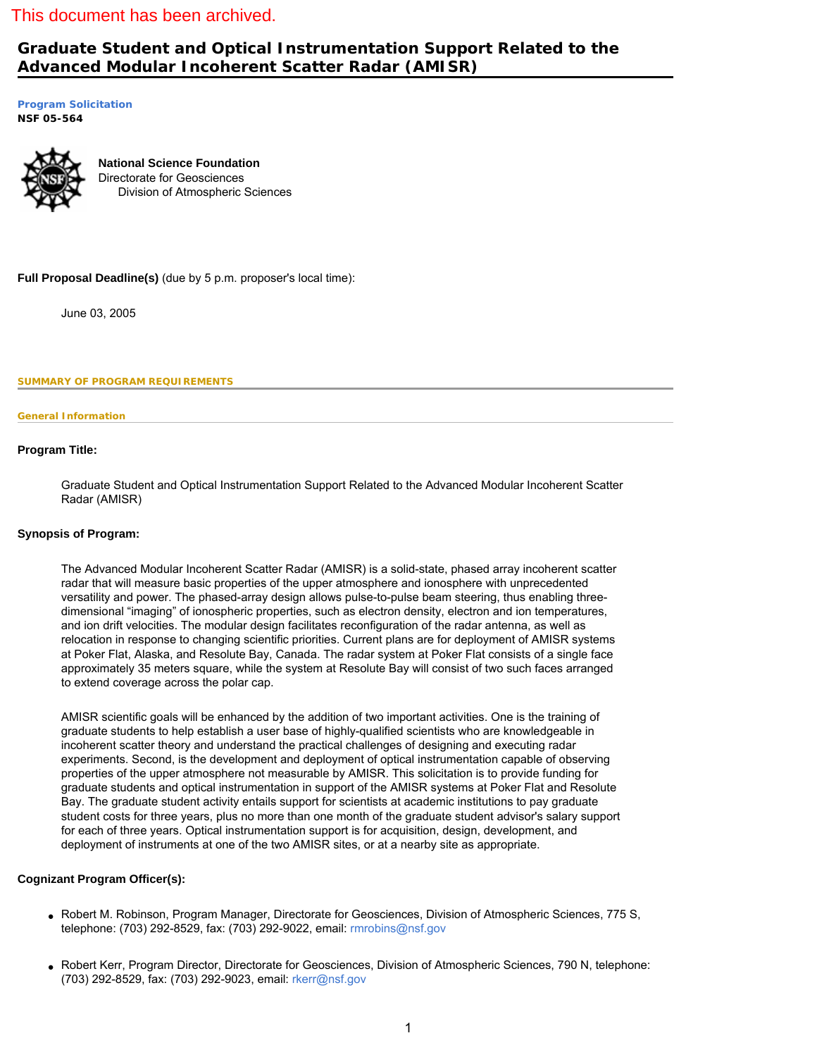# This document has been archived.

# **Graduate Student and Optical Instrumentation Support Related to the Advanced Modular Incoherent Scatter Radar (AMISR)**

**[Program Solicitation](#page-1-0) NSF 05-564** 



**National Science Foundation** Directorate for Geosciences Division of Atmospheric Sciences

**Full Proposal Deadline(s)** (due by 5 p.m. proposer's local time):

June 03, 2005

<span id="page-0-0"></span>**SUMMARY OF PROGRAM REQUIREMENTS**

### **General Information**

# **Program Title:**

Graduate Student and Optical Instrumentation Support Related to the Advanced Modular Incoherent Scatter Radar (AMISR)

# **Synopsis of Program:**

The Advanced Modular Incoherent Scatter Radar (AMISR) is a solid-state, phased array incoherent scatter radar that will measure basic properties of the upper atmosphere and ionosphere with unprecedented versatility and power. The phased-array design allows pulse-to-pulse beam steering, thus enabling threedimensional "imaging" of ionospheric properties, such as electron density, electron and ion temperatures, and ion drift velocities. The modular design facilitates reconfiguration of the radar antenna, as well as relocation in response to changing scientific priorities. Current plans are for deployment of AMISR systems at Poker Flat, Alaska, and Resolute Bay, Canada. The radar system at Poker Flat consists of a single face approximately 35 meters square, while the system at Resolute Bay will consist of two such faces arranged to extend coverage across the polar cap.

AMISR scientific goals will be enhanced by the addition of two important activities. One is the training of graduate students to help establish a user base of highly-qualified scientists who are knowledgeable in incoherent scatter theory and understand the practical challenges of designing and executing radar experiments. Second, is the development and deployment of optical instrumentation capable of observing properties of the upper atmosphere not measurable by AMISR. This solicitation is to provide funding for graduate students and optical instrumentation in support of the AMISR systems at Poker Flat and Resolute Bay. The graduate student activity entails support for scientists at academic institutions to pay graduate student costs for three years, plus no more than one month of the graduate student advisor's salary support for each of three years. Optical instrumentation support is for acquisition, design, development, and deployment of instruments at one of the two AMISR sites, or at a nearby site as appropriate.

# **Cognizant Program Officer(s):**

- Robert M. Robinson, Program Manager, Directorate for Geosciences, Division of Atmospheric Sciences, 775 S, telephone: (703) 292-8529, fax: (703) 292-9022, email: [rmrobins@nsf.gov](mailto:rmrobins@nsf.gov)
- Robert Kerr, Program Director, Directorate for Geosciences, Division of Atmospheric Sciences, 790 N, telephone: (703) 292-8529, fax: (703) 292-9023, email: [rkerr@nsf.gov](mailto:rkerr@nsf.gov)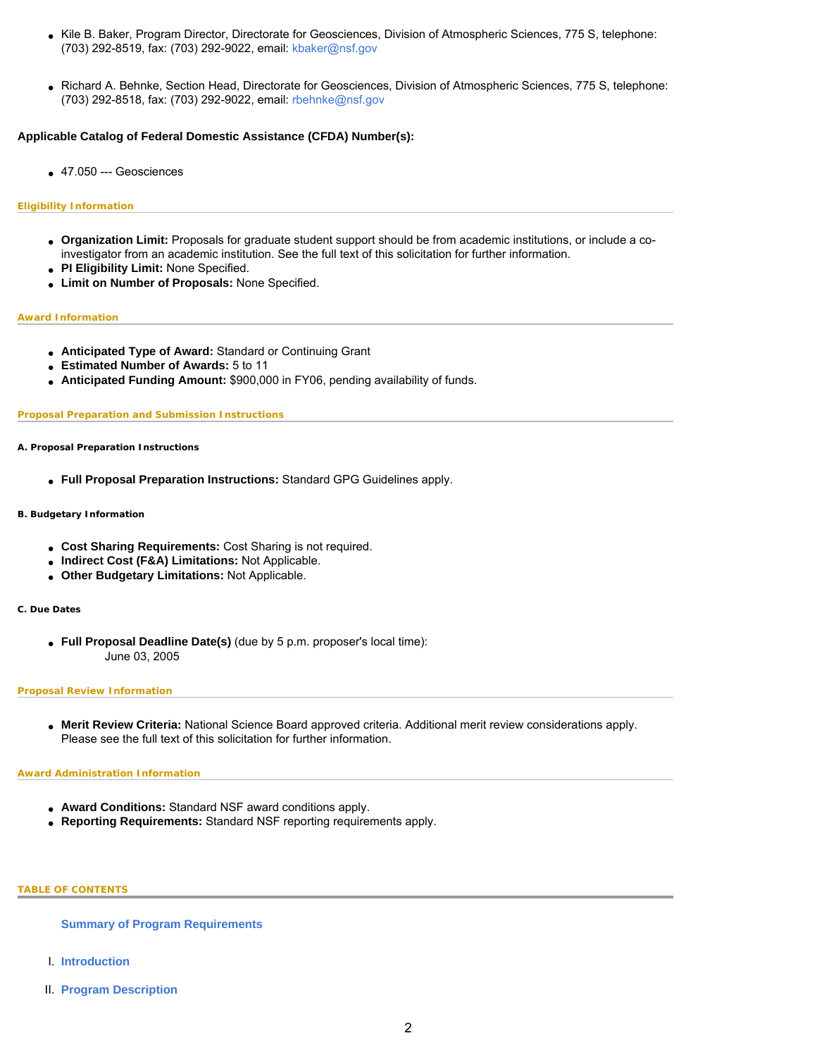- Kile B. Baker, Program Director, Directorate for Geosciences, Division of Atmospheric Sciences, 775 S, telephone: (703) 292-8519, fax: (703) 292-9022, email: [kbaker@nsf.gov](mailto:kbaker@nsf.gov)
- Richard A. Behnke, Section Head, Directorate for Geosciences, Division of Atmospheric Sciences, 775 S, telephone: (703) 292-8518, fax: (703) 292-9022, email: [rbehnke@nsf.gov](mailto:rbehnke@nsf.gov)

# **Applicable Catalog of Federal Domestic Assistance (CFDA) Number(s):**

 $\bullet$  47.050 --- Geosciences

# **Eligibility Information**

- **Organization Limit:** Proposals for graduate student support should be from academic institutions, or include a coinvestigator from an academic institution. See the full text of this solicitation for further information.
- **PI Eligibility Limit:** None Specified.
- **Limit on Number of Proposals:** None Specified.

### **Award Information**

- **Anticipated Type of Award:** Standard or Continuing Grant
- **Estimated Number of Awards:** 5 to 11
- **Anticipated Funding Amount:** \$900,000 in FY06, pending availability of funds.

### **Proposal Preparation and Submission Instructions**

**A. Proposal Preparation Instructions**

● **Full Proposal Preparation Instructions:** Standard GPG Guidelines apply.

# **B. Budgetary Information**

- **Cost Sharing Requirements:** Cost Sharing is not required.
- **Indirect Cost (F&A) Limitations:** Not Applicable.
- **Other Budgetary Limitations:** Not Applicable.

### **C. Due Dates**

● **Full Proposal Deadline Date(s)** (due by 5 p.m. proposer's local time): June 03, 2005

# **Proposal Review Information**

● **Merit Review Criteria:** National Science Board approved criteria. Additional merit review considerations apply. Please see the full text of this solicitation for further information.

### **Award Administration Information**

- **Award Conditions:** Standard NSF award conditions apply.
- **Reporting Requirements:** Standard NSF reporting requirements apply.

### <span id="page-1-0"></span>**TABLE OF CONTENTS**

**[Summary of Program Requirements](#page-0-0)**

- I. **[Introduction](#page-2-0)**
- II. **[Program Description](#page-2-1)**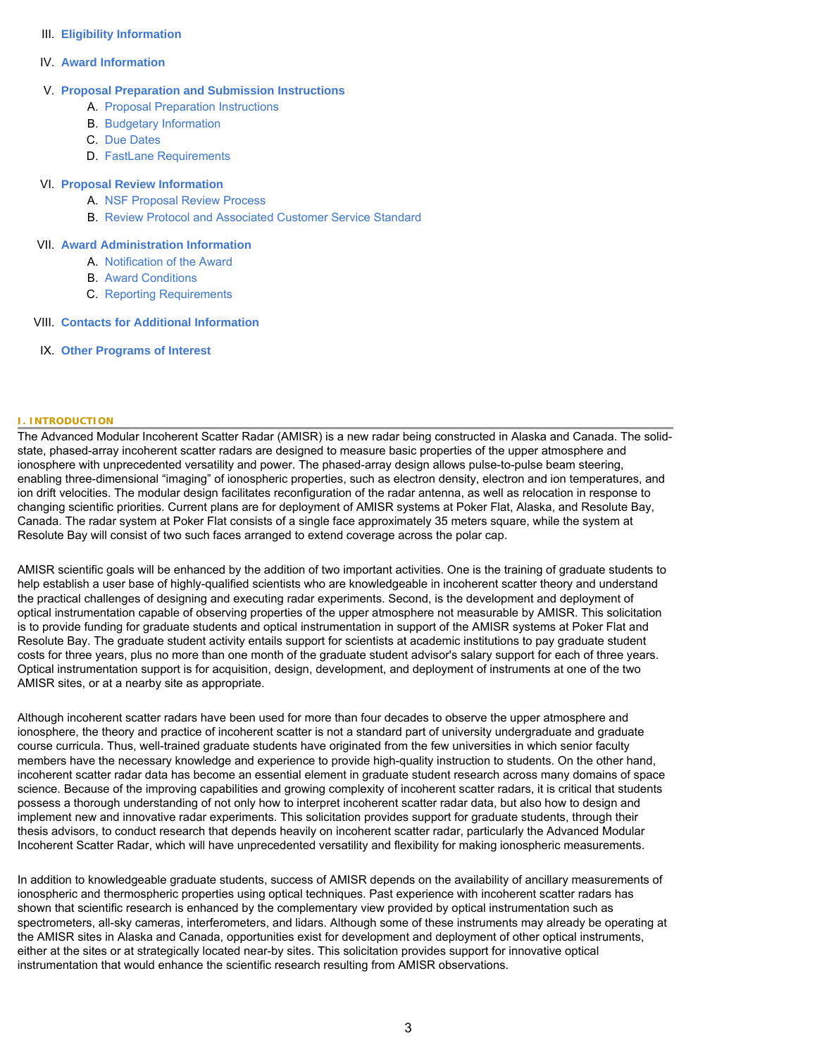# III. **[Eligibility Information](#page-4-0)**

# IV. **[Award Information](#page-4-1)**

# V. **[Proposal Preparation and Submission Instructions](#page-4-2)**

- A. [Proposal Preparation Instructions](#page-4-2)
- B. [Budgetary Information](#page-4-3)
- C. [Due Dates](#page-5-0)
- D. [FastLane Requirements](#page-5-1)

# VI. **[Proposal Review Information](#page-5-2)**

- A. [NSF Proposal Review Process](#page-5-3)
- B. [Review Protocol and Associated Customer Service Standard](#page-6-0)

# VII. **[Award Administration Information](#page-7-0)**

- A. [Notification of the Award](#page-7-1)
- B. [Award Conditions](#page-7-2)
- C. [Reporting Requirements](#page-7-3)

# VIII. **[Contacts for Additional Information](#page-7-4)**

IX. **[Other Programs of Interest](#page-8-0)**

# <span id="page-2-0"></span>**I. INTRODUCTION**

The Advanced Modular Incoherent Scatter Radar (AMISR) is a new radar being constructed in Alaska and Canada. The solidstate, phased-array incoherent scatter radars are designed to measure basic properties of the upper atmosphere and ionosphere with unprecedented versatility and power. The phased-array design allows pulse-to-pulse beam steering, enabling three-dimensional "imaging" of ionospheric properties, such as electron density, electron and ion temperatures, and ion drift velocities. The modular design facilitates reconfiguration of the radar antenna, as well as relocation in response to changing scientific priorities. Current plans are for deployment of AMISR systems at Poker Flat, Alaska, and Resolute Bay, Canada. The radar system at Poker Flat consists of a single face approximately 35 meters square, while the system at Resolute Bay will consist of two such faces arranged to extend coverage across the polar cap.

AMISR scientific goals will be enhanced by the addition of two important activities. One is the training of graduate students to help establish a user base of highly-qualified scientists who are knowledgeable in incoherent scatter theory and understand the practical challenges of designing and executing radar experiments. Second, is the development and deployment of optical instrumentation capable of observing properties of the upper atmosphere not measurable by AMISR. This solicitation is to provide funding for graduate students and optical instrumentation in support of the AMISR systems at Poker Flat and Resolute Bay. The graduate student activity entails support for scientists at academic institutions to pay graduate student costs for three years, plus no more than one month of the graduate student advisor's salary support for each of three years. Optical instrumentation support is for acquisition, design, development, and deployment of instruments at one of the two AMISR sites, or at a nearby site as appropriate.

Although incoherent scatter radars have been used for more than four decades to observe the upper atmosphere and ionosphere, the theory and practice of incoherent scatter is not a standard part of university undergraduate and graduate course curricula. Thus, well-trained graduate students have originated from the few universities in which senior faculty members have the necessary knowledge and experience to provide high-quality instruction to students. On the other hand, incoherent scatter radar data has become an essential element in graduate student research across many domains of space science. Because of the improving capabilities and growing complexity of incoherent scatter radars, it is critical that students possess a thorough understanding of not only how to interpret incoherent scatter radar data, but also how to design and implement new and innovative radar experiments. This solicitation provides support for graduate students, through their thesis advisors, to conduct research that depends heavily on incoherent scatter radar, particularly the Advanced Modular Incoherent Scatter Radar, which will have unprecedented versatility and flexibility for making ionospheric measurements.

<span id="page-2-1"></span>In addition to knowledgeable graduate students, success of AMISR depends on the availability of ancillary measurements of ionospheric and thermospheric properties using optical techniques. Past experience with incoherent scatter radars has shown that scientific research is enhanced by the complementary view provided by optical instrumentation such as spectrometers, all-sky cameras, interferometers, and lidars. Although some of these instruments may already be operating at the AMISR sites in Alaska and Canada, opportunities exist for development and deployment of other optical instruments, either at the sites or at strategically located near-by sites. This solicitation provides support for innovative optical instrumentation that would enhance the scientific research resulting from AMISR observations.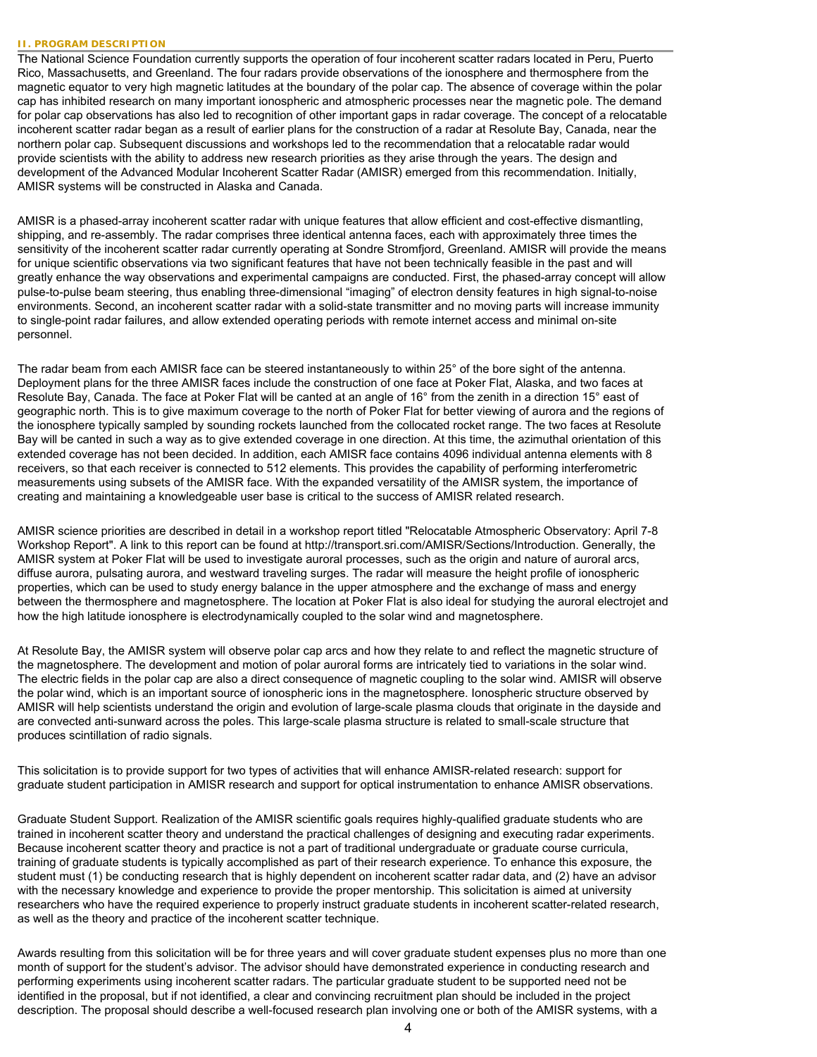### **II. PROGRAM DESCRIPTION**

The National Science Foundation currently supports the operation of four incoherent scatter radars located in Peru, Puerto Rico, Massachusetts, and Greenland. The four radars provide observations of the ionosphere and thermosphere from the magnetic equator to very high magnetic latitudes at the boundary of the polar cap. The absence of coverage within the polar cap has inhibited research on many important ionospheric and atmospheric processes near the magnetic pole. The demand for polar cap observations has also led to recognition of other important gaps in radar coverage. The concept of a relocatable incoherent scatter radar began as a result of earlier plans for the construction of a radar at Resolute Bay, Canada, near the northern polar cap. Subsequent discussions and workshops led to the recommendation that a relocatable radar would provide scientists with the ability to address new research priorities as they arise through the years. The design and development of the Advanced Modular Incoherent Scatter Radar (AMISR) emerged from this recommendation. Initially, AMISR systems will be constructed in Alaska and Canada.

AMISR is a phased-array incoherent scatter radar with unique features that allow efficient and cost-effective dismantling, shipping, and re-assembly. The radar comprises three identical antenna faces, each with approximately three times the sensitivity of the incoherent scatter radar currently operating at Sondre Stromfjord, Greenland. AMISR will provide the means for unique scientific observations via two significant features that have not been technically feasible in the past and will greatly enhance the way observations and experimental campaigns are conducted. First, the phased-array concept will allow pulse-to-pulse beam steering, thus enabling three-dimensional "imaging" of electron density features in high signal-to-noise environments. Second, an incoherent scatter radar with a solid-state transmitter and no moving parts will increase immunity to single-point radar failures, and allow extended operating periods with remote internet access and minimal on-site personnel.

The radar beam from each AMISR face can be steered instantaneously to within 25° of the bore sight of the antenna. Deployment plans for the three AMISR faces include the construction of one face at Poker Flat, Alaska, and two faces at Resolute Bay, Canada. The face at Poker Flat will be canted at an angle of 16° from the zenith in a direction 15° east of geographic north. This is to give maximum coverage to the north of Poker Flat for better viewing of aurora and the regions of the ionosphere typically sampled by sounding rockets launched from the collocated rocket range. The two faces at Resolute Bay will be canted in such a way as to give extended coverage in one direction. At this time, the azimuthal orientation of this extended coverage has not been decided. In addition, each AMISR face contains 4096 individual antenna elements with 8 receivers, so that each receiver is connected to 512 elements. This provides the capability of performing interferometric measurements using subsets of the AMISR face. With the expanded versatility of the AMISR system, the importance of creating and maintaining a knowledgeable user base is critical to the success of AMISR related research.

AMISR science priorities are described in detail in a workshop report titled "Relocatable Atmospheric Observatory: April 7-8 Workshop Report". A link to this report can be found at [http://transport.sri.com/AMISR/Sections/Introduction.](http://transport.sri.com/AMISR/Sections/Introduction) Generally, the AMISR system at Poker Flat will be used to investigate auroral processes, such as the origin and nature of auroral arcs, diffuse aurora, pulsating aurora, and westward traveling surges. The radar will measure the height profile of ionospheric properties, which can be used to study energy balance in the upper atmosphere and the exchange of mass and energy between the thermosphere and magnetosphere. The location at Poker Flat is also ideal for studying the auroral electrojet and how the high latitude ionosphere is electrodynamically coupled to the solar wind and magnetosphere.

At Resolute Bay, the AMISR system will observe polar cap arcs and how they relate to and reflect the magnetic structure of the magnetosphere. The development and motion of polar auroral forms are intricately tied to variations in the solar wind. The electric fields in the polar cap are also a direct consequence of magnetic coupling to the solar wind. AMISR will observe the polar wind, which is an important source of ionospheric ions in the magnetosphere. Ionospheric structure observed by AMISR will help scientists understand the origin and evolution of large-scale plasma clouds that originate in the dayside and are convected anti-sunward across the poles. This large-scale plasma structure is related to small-scale structure that produces scintillation of radio signals.

This solicitation is to provide support for two types of activities that will enhance AMISR-related research: support for graduate student participation in AMISR research and support for optical instrumentation to enhance AMISR observations.

Graduate Student Support. Realization of the AMISR scientific goals requires highly-qualified graduate students who are trained in incoherent scatter theory and understand the practical challenges of designing and executing radar experiments. Because incoherent scatter theory and practice is not a part of traditional undergraduate or graduate course curricula, training of graduate students is typically accomplished as part of their research experience. To enhance this exposure, the student must (1) be conducting research that is highly dependent on incoherent scatter radar data, and (2) have an advisor with the necessary knowledge and experience to provide the proper mentorship. This solicitation is aimed at university researchers who have the required experience to properly instruct graduate students in incoherent scatter-related research, as well as the theory and practice of the incoherent scatter technique.

Awards resulting from this solicitation will be for three years and will cover graduate student expenses plus no more than one month of support for the student's advisor. The advisor should have demonstrated experience in conducting research and performing experiments using incoherent scatter radars. The particular graduate student to be supported need not be identified in the proposal, but if not identified, a clear and convincing recruitment plan should be included in the project description. The proposal should describe a well-focused research plan involving one or both of the AMISR systems, with a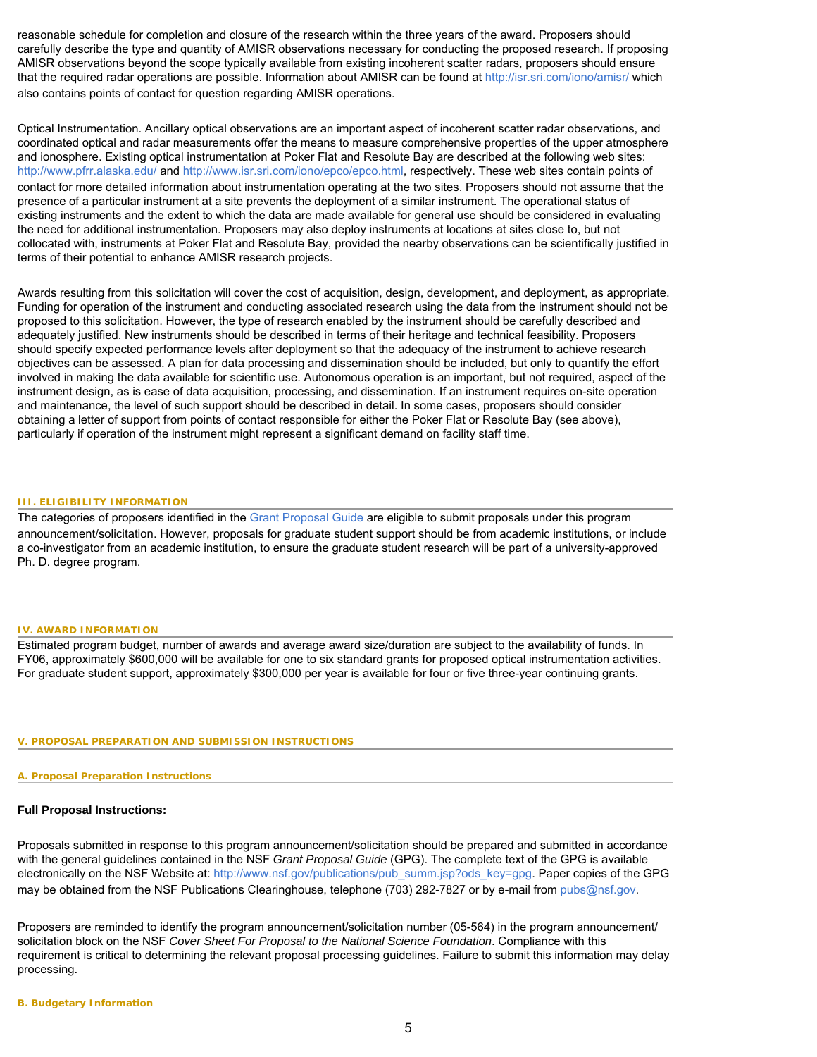reasonable schedule for completion and closure of the research within the three years of the award. Proposers should carefully describe the type and quantity of AMISR observations necessary for conducting the proposed research. If proposing AMISR observations beyond the scope typically available from existing incoherent scatter radars, proposers should ensure that the required radar operations are possible. Information about AMISR can be found at <http://isr.sri.com/iono/amisr/>which also contains points of contact for question regarding AMISR operations.

Optical Instrumentation. Ancillary optical observations are an important aspect of incoherent scatter radar observations, and coordinated optical and radar measurements offer the means to measure comprehensive properties of the upper atmosphere and ionosphere. Existing optical instrumentation at Poker Flat and Resolute Bay are described at the following web sites: <http://www.pfrr.alaska.edu/>and<http://www.isr.sri.com/iono/epco/epco.html>, respectively. These web sites contain points of contact for more detailed information about instrumentation operating at the two sites. Proposers should not assume that the presence of a particular instrument at a site prevents the deployment of a similar instrument. The operational status of existing instruments and the extent to which the data are made available for general use should be considered in evaluating the need for additional instrumentation. Proposers may also deploy instruments at locations at sites close to, but not collocated with, instruments at Poker Flat and Resolute Bay, provided the nearby observations can be scientifically justified in terms of their potential to enhance AMISR research projects.

Awards resulting from this solicitation will cover the cost of acquisition, design, development, and deployment, as appropriate. Funding for operation of the instrument and conducting associated research using the data from the instrument should not be proposed to this solicitation. However, the type of research enabled by the instrument should be carefully described and adequately justified. New instruments should be described in terms of their heritage and technical feasibility. Proposers should specify expected performance levels after deployment so that the adequacy of the instrument to achieve research objectives can be assessed. A plan for data processing and dissemination should be included, but only to quantify the effort involved in making the data available for scientific use. Autonomous operation is an important, but not required, aspect of the instrument design, as is ease of data acquisition, processing, and dissemination. If an instrument requires on-site operation and maintenance, the level of such support should be described in detail. In some cases, proposers should consider obtaining a letter of support from points of contact responsible for either the Poker Flat or Resolute Bay (see above), particularly if operation of the instrument might represent a significant demand on facility staff time.

# <span id="page-4-0"></span>**III. ELIGIBILITY INFORMATION**

The categories of proposers identified in the [Grant Proposal Guide](http://www.nsf.gov/pubs/2001/nsf012/nsf0102_1.html#whomaysubmit) are eligible to submit proposals under this program announcement/solicitation. However, proposals for graduate student support should be from academic institutions, or include a co-investigator from an academic institution, to ensure the graduate student research will be part of a university-approved Ph. D. degree program.

# <span id="page-4-1"></span>**IV. AWARD INFORMATION**

<span id="page-4-2"></span>Estimated program budget, number of awards and average award size/duration are subject to the availability of funds. In FY06, approximately \$600,000 will be available for one to six standard grants for proposed optical instrumentation activities. For graduate student support, approximately \$300,000 per year is available for four or five three-year continuing grants.

# **V. PROPOSAL PREPARATION AND SUBMISSION INSTRUCTIONS**

# **A. Proposal Preparation Instructions**

# **Full Proposal Instructions:**

Proposals submitted in response to this program announcement/solicitation should be prepared and submitted in accordance with the general guidelines contained in the NSF *Grant Proposal Guide* (GPG). The complete text of the GPG is available electronically on the NSF Website at: [http://www.nsf.gov/publications/pub\\_summ.jsp?ods\\_key=gpg.](http://www.nsf.gov/publications/pub_summ.jsp?ods_key=gpg) Paper copies of the GPG may be obtained from the NSF Publications Clearinghouse, telephone (703) 292-7827 or by e-mail from [pubs@nsf.gov.](mailto:pubs@nsf.gov)

<span id="page-4-3"></span>Proposers are reminded to identify the program announcement/solicitation number (05-564) in the program announcement/ solicitation block on the NSF *Cover Sheet For Proposal to the National Science Foundation*. Compliance with this requirement is critical to determining the relevant proposal processing guidelines. Failure to submit this information may delay processing.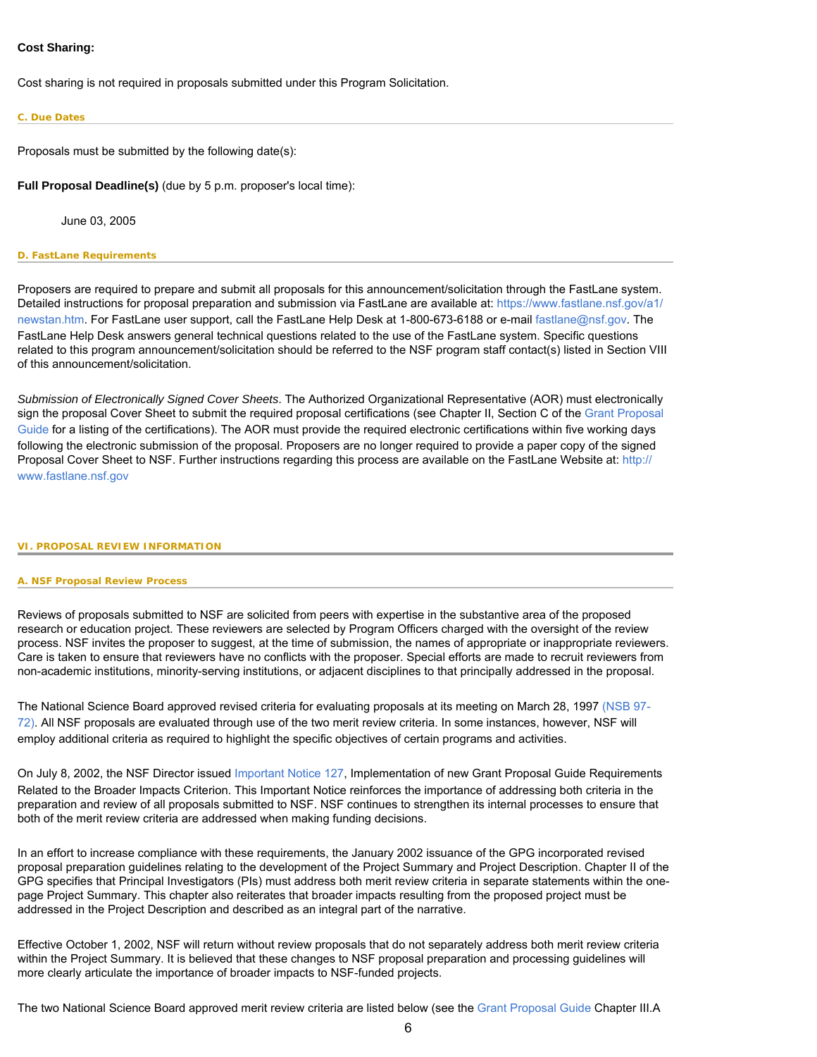# **Cost Sharing:**

Cost sharing is not required in proposals submitted under this Program Solicitation.

### <span id="page-5-0"></span>**C. Due Dates**

Proposals must be submitted by the following date(s):

**Full Proposal Deadline(s)** (due by 5 p.m. proposer's local time):

June 03, 2005

### <span id="page-5-1"></span>**D. FastLane Requirements**

Proposers are required to prepare and submit all proposals for this announcement/solicitation through the FastLane system. Detailed instructions for proposal preparation and submission via FastLane are available at: [https://www.fastlane.nsf.gov/a1/](https://www.fastlane.nsf.gov/a1/newstan.htm) [newstan.htm](https://www.fastlane.nsf.gov/a1/newstan.htm). For FastLane user support, call the FastLane Help Desk at 1-800-673-6188 or e-mail [fastlane@nsf.gov.](mailto:fastlane@nsf.gov) The FastLane Help Desk answers general technical questions related to the use of the FastLane system. Specific questions related to this program announcement/solicitation should be referred to the NSF program staff contact(s) listed in Section VIII of this announcement/solicitation.

*Submission of Electronically Signed Cover Sheets*. The Authorized Organizational Representative (AOR) must electronically sign the proposal Cover Sheet to submit the required proposal certifications (see Chapter II, Section C of the [Grant Proposal](http://www.nsf.gov/publications/pub_summ.jsp?ods_key=gpg)  [Guide](http://www.nsf.gov/publications/pub_summ.jsp?ods_key=gpg) for a listing of the certifications). The AOR must provide the required electronic certifications within five working days following the electronic submission of the proposal. Proposers are no longer required to provide a paper copy of the signed Proposal Cover Sheet to NSF. Further instructions regarding this process are available on the FastLane Website at: [http://](http://www.fastlane.nsf.gov/) [www.fastlane.nsf.gov](http://www.fastlane.nsf.gov/)

### <span id="page-5-3"></span><span id="page-5-2"></span>**VI. PROPOSAL REVIEW INFORMATION**

### **A. NSF Proposal Review Process**

Reviews of proposals submitted to NSF are solicited from peers with expertise in the substantive area of the proposed research or education project. These reviewers are selected by Program Officers charged with the oversight of the review process. NSF invites the proposer to suggest, at the time of submission, the names of appropriate or inappropriate reviewers. Care is taken to ensure that reviewers have no conflicts with the proposer. Special efforts are made to recruit reviewers from non-academic institutions, minority-serving institutions, or adjacent disciplines to that principally addressed in the proposal.

The National Science Board approved revised criteria for evaluating proposals at its meeting on March 28, 1997 [\(NSB 97-](http://www.nsf.gov/publications/pub_summ.jsp?ods_key=nsb9772) [72\).](http://www.nsf.gov/publications/pub_summ.jsp?ods_key=nsb9772) All NSF proposals are evaluated through use of the two merit review criteria. In some instances, however, NSF will employ additional criteria as required to highlight the specific objectives of certain programs and activities.

On July 8, 2002, the NSF Director issued [Important Notice 127,](http://www.nsf.gov/publications/pub_summ.jsp?ods_key=iin127) Implementation of new Grant Proposal Guide Requirements Related to the Broader Impacts Criterion. This Important Notice reinforces the importance of addressing both criteria in the preparation and review of all proposals submitted to NSF. NSF continues to strengthen its internal processes to ensure that both of the merit review criteria are addressed when making funding decisions.

In an effort to increase compliance with these requirements, the January 2002 issuance of the GPG incorporated revised proposal preparation guidelines relating to the development of the Project Summary and Project Description. Chapter II of the GPG specifies that Principal Investigators (PIs) must address both merit review criteria in separate statements within the onepage Project Summary. This chapter also reiterates that broader impacts resulting from the proposed project must be addressed in the Project Description and described as an integral part of the narrative.

Effective October 1, 2002, NSF will return without review proposals that do not separately address both merit review criteria within the Project Summary. It is believed that these changes to NSF proposal preparation and processing guidelines will more clearly articulate the importance of broader impacts to NSF-funded projects.

The two National Science Board approved merit review criteria are listed below (see the [Grant Proposal Guide](http://www.nsf.gov/publications/pub_summ.jsp?ods_key=gpg) Chapter III.A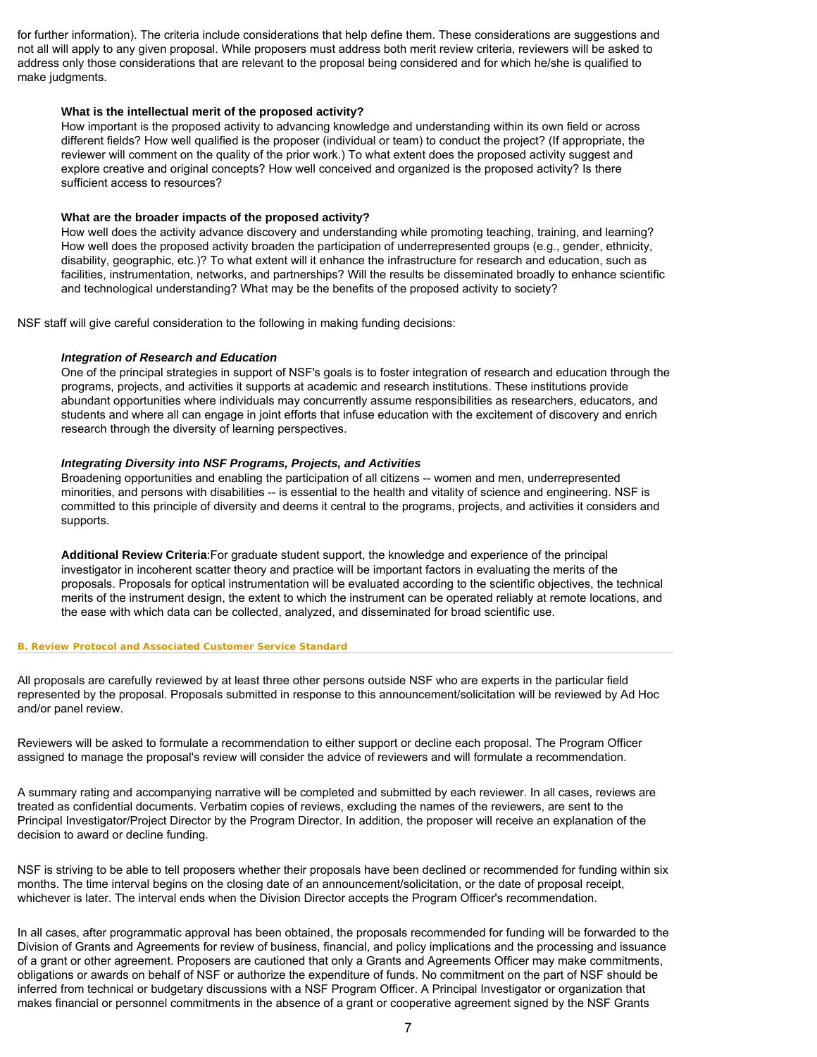for further information). The criteria include considerations that help define them. These considerations are suggestions and not all will apply to any given proposal. While proposers must address both merit review criteria, reviewers will be asked to address only those considerations that are relevant to the proposal being considered and for which he/she is qualified to make judgments.

# **What is the intellectual merit of the proposed activity?**

How important is the proposed activity to advancing knowledge and understanding within its own field or across different fields? How well qualified is the proposer (individual or team) to conduct the project? (If appropriate, the reviewer will comment on the quality of the prior work.) To what extent does the proposed activity suggest and explore creative and original concepts? How well conceived and organized is the proposed activity? Is there sufficient access to resources?

# **What are the broader impacts of the proposed activity?**

How well does the activity advance discovery and understanding while promoting teaching, training, and learning? How well does the proposed activity broaden the participation of underrepresented groups (e.g., gender, ethnicity, disability, geographic, etc.)? To what extent will it enhance the infrastructure for research and education, such as facilities, instrumentation, networks, and partnerships? Will the results be disseminated broadly to enhance scientific and technological understanding? What may be the benefits of the proposed activity to society?

NSF staff will give careful consideration to the following in making funding decisions:

# *Integration of Research and Education*

One of the principal strategies in support of NSF's goals is to foster integration of research and education through the programs, projects, and activities it supports at academic and research institutions. These institutions provide abundant opportunities where individuals may concurrently assume responsibilities as researchers, educators, and students and where all can engage in joint efforts that infuse education with the excitement of discovery and enrich research through the diversity of learning perspectives.

# *Integrating Diversity into NSF Programs, Projects, and Activities*

Broadening opportunities and enabling the participation of all citizens -- women and men, underrepresented minorities, and persons with disabilities -- is essential to the health and vitality of science and engineering. NSF is committed to this principle of diversity and deems it central to the programs, projects, and activities it considers and supports.

**Additional Review Criteria**:For graduate student support, the knowledge and experience of the principal investigator in incoherent scatter theory and practice will be important factors in evaluating the merits of the proposals. Proposals for optical instrumentation will be evaluated according to the scientific objectives, the technical merits of the instrument design, the extent to which the instrument can be operated reliably at remote locations, and the ease with which data can be collected, analyzed, and disseminated for broad scientific use.

# <span id="page-6-0"></span>**B. Review Protocol and Associated Customer Service Standard**

All proposals are carefully reviewed by at least three other persons outside NSF who are experts in the particular field represented by the proposal. Proposals submitted in response to this announcement/solicitation will be reviewed by Ad Hoc and/or panel review.

Reviewers will be asked to formulate a recommendation to either support or decline each proposal. The Program Officer assigned to manage the proposal's review will consider the advice of reviewers and will formulate a recommendation.

A summary rating and accompanying narrative will be completed and submitted by each reviewer. In all cases, reviews are treated as confidential documents. Verbatim copies of reviews, excluding the names of the reviewers, are sent to the Principal Investigator/Project Director by the Program Director. In addition, the proposer will receive an explanation of the decision to award or decline funding.

NSF is striving to be able to tell proposers whether their proposals have been declined or recommended for funding within six months. The time interval begins on the closing date of an announcement/solicitation, or the date of proposal receipt, whichever is later. The interval ends when the Division Director accepts the Program Officer's recommendation.

In all cases, after programmatic approval has been obtained, the proposals recommended for funding will be forwarded to the Division of Grants and Agreements for review of business, financial, and policy implications and the processing and issuance of a grant or other agreement. Proposers are cautioned that only a Grants and Agreements Officer may make commitments, obligations or awards on behalf of NSF or authorize the expenditure of funds. No commitment on the part of NSF should be inferred from technical or budgetary discussions with a NSF Program Officer. A Principal Investigator or organization that makes financial or personnel commitments in the absence of a grant or cooperative agreement signed by the NSF Grants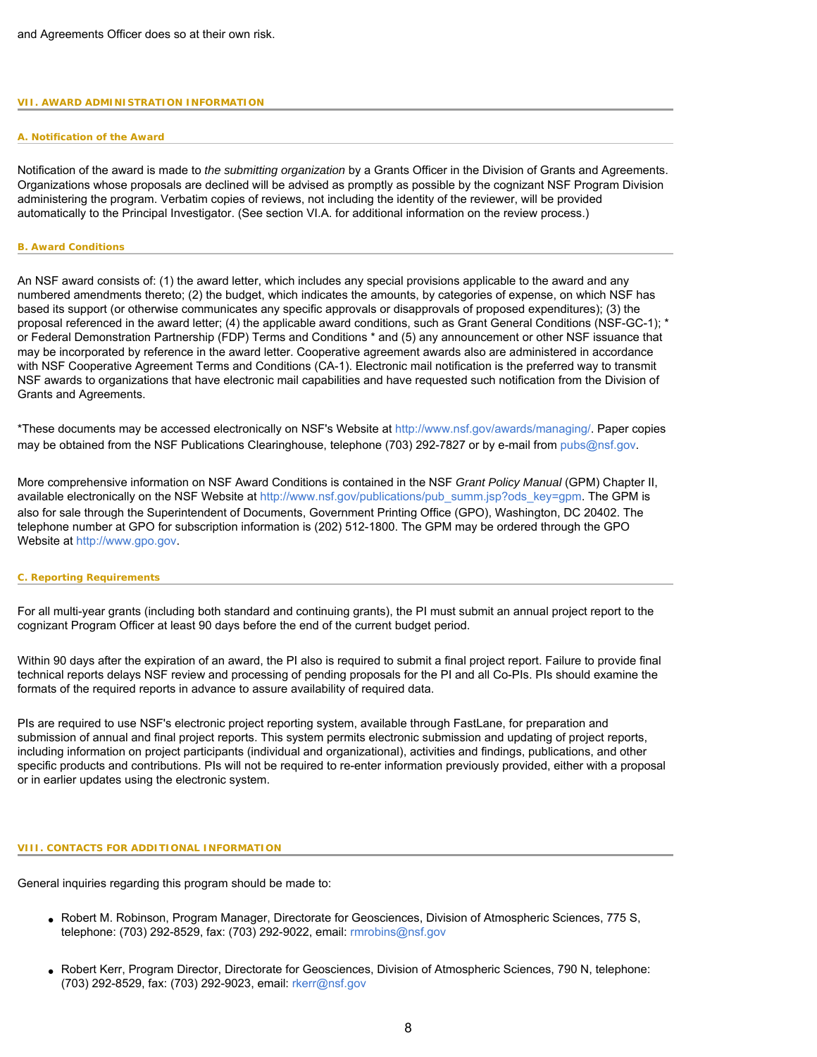### <span id="page-7-1"></span><span id="page-7-0"></span>**VII. AWARD ADMINISTRATION INFORMATION**

### **A. Notification of the Award**

Notification of the award is made to *the submitting organization* by a Grants Officer in the Division of Grants and Agreements. Organizations whose proposals are declined will be advised as promptly as possible by the cognizant NSF Program Division administering the program. Verbatim copies of reviews, not including the identity of the reviewer, will be provided automatically to the Principal Investigator. (See section VI.A. for additional information on the review process.)

#### <span id="page-7-2"></span>**B. Award Conditions**

An NSF award consists of: (1) the award letter, which includes any special provisions applicable to the award and any numbered amendments thereto; (2) the budget, which indicates the amounts, by categories of expense, on which NSF has based its support (or otherwise communicates any specific approvals or disapprovals of proposed expenditures); (3) the proposal referenced in the award letter; (4) the applicable award conditions, such as Grant General Conditions (NSF-GC-1); \* or Federal Demonstration Partnership (FDP) Terms and Conditions \* and (5) any announcement or other NSF issuance that may be incorporated by reference in the award letter. Cooperative agreement awards also are administered in accordance with NSF Cooperative Agreement Terms and Conditions (CA-1). Electronic mail notification is the preferred way to transmit NSF awards to organizations that have electronic mail capabilities and have requested such notification from the Division of Grants and Agreements.

\*These documents may be accessed electronically on NSF's Website at [http://www.nsf.gov/awards/managing/.](http://www.nsf.gov/awards/managing/) Paper copies may be obtained from the NSF Publications Clearinghouse, telephone (703) 292-7827 or by e-mail from [pubs@nsf.gov.](mailto:pubs@nsf.gov)

More comprehensive information on NSF Award Conditions is contained in the NSF *Grant Policy Manual* (GPM) Chapter II, available electronically on the NSF Website at [http://www.nsf.gov/publications/pub\\_summ.jsp?ods\\_key=gpm](http://www.nsf.gov/publications/pub_summ.jsp?ods_key=gpm). The GPM is also for sale through the Superintendent of Documents, Government Printing Office (GPO), Washington, DC 20402. The telephone number at GPO for subscription information is (202) 512-1800. The GPM may be ordered through the GPO Website at [http://www.gpo.gov](http://www.gpo.gov/).

### <span id="page-7-3"></span>**C. Reporting Requirements**

For all multi-year grants (including both standard and continuing grants), the PI must submit an annual project report to the cognizant Program Officer at least 90 days before the end of the current budget period.

Within 90 days after the expiration of an award, the PI also is required to submit a final project report. Failure to provide final technical reports delays NSF review and processing of pending proposals for the PI and all Co-PIs. PIs should examine the formats of the required reports in advance to assure availability of required data.

PIs are required to use NSF's electronic project reporting system, available through FastLane, for preparation and submission of annual and final project reports. This system permits electronic submission and updating of project reports, including information on project participants (individual and organizational), activities and findings, publications, and other specific products and contributions. PIs will not be required to re-enter information previously provided, either with a proposal or in earlier updates using the electronic system.

#### <span id="page-7-4"></span>**VIII. CONTACTS FOR ADDITIONAL INFORMATION**

General inquiries regarding this program should be made to:

- Robert M. Robinson, Program Manager, Directorate for Geosciences, Division of Atmospheric Sciences, 775 S, telephone: (703) 292-8529, fax: (703) 292-9022, email: [rmrobins@nsf.gov](mailto:rmrobins@nsf.gov)
- Robert Kerr, Program Director, Directorate for Geosciences, Division of Atmospheric Sciences, 790 N, telephone: (703) 292-8529, fax: (703) 292-9023, email: [rkerr@nsf.gov](mailto:rkerr@nsf.gov)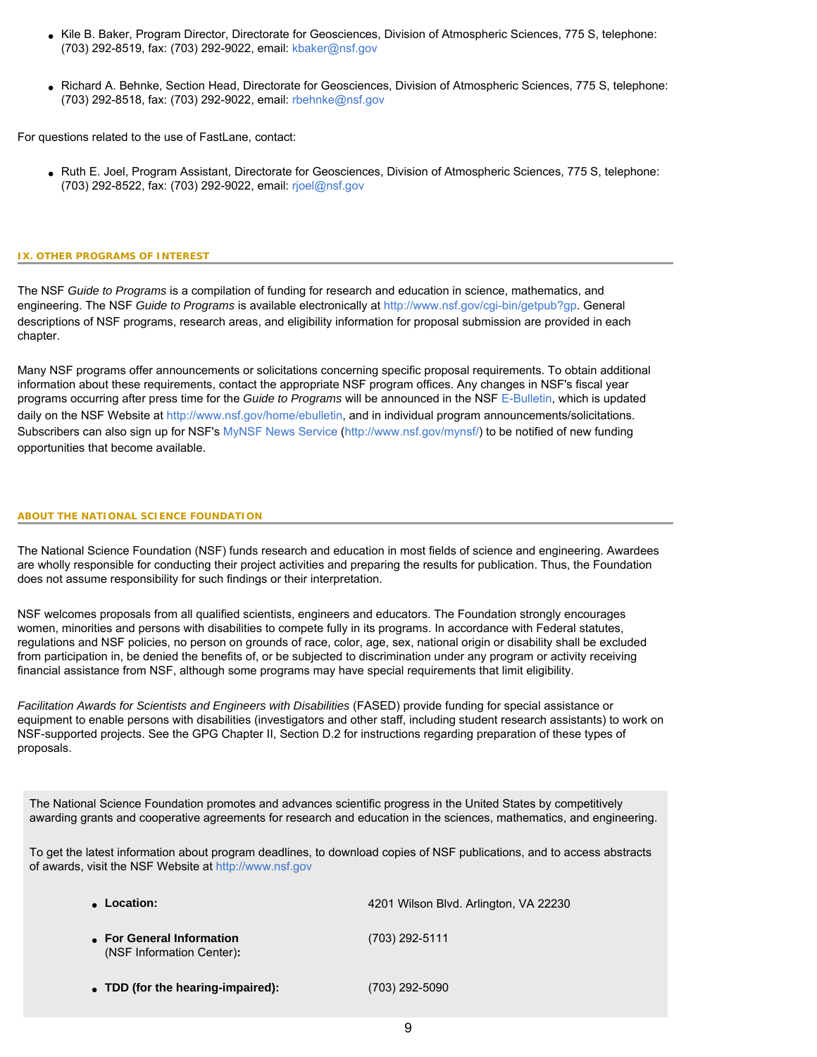- Kile B. Baker, Program Director, Directorate for Geosciences, Division of Atmospheric Sciences, 775 S, telephone: (703) 292-8519, fax: (703) 292-9022, email: [kbaker@nsf.gov](mailto:kbaker@nsf.gov)
- Richard A. Behnke, Section Head, Directorate for Geosciences, Division of Atmospheric Sciences, 775 S, telephone: (703) 292-8518, fax: (703) 292-9022, email: [rbehnke@nsf.gov](mailto:rbehnke@nsf.gov)

For questions related to the use of FastLane, contact:

● Ruth E. Joel, Program Assistant, Directorate for Geosciences, Division of Atmospheric Sciences, 775 S, telephone: (703) 292-8522, fax: (703) 292-9022, email: [rjoel@nsf.gov](mailto:rjoel@nsf.gov)

### <span id="page-8-0"></span>**IX. OTHER PROGRAMS OF INTEREST**

The NSF *Guide to Programs* is a compilation of funding for research and education in science, mathematics, and engineering. The NSF *Guide to Programs* is available electronically at <http://www.nsf.gov/cgi-bin/getpub?gp>. General descriptions of NSF programs, research areas, and eligibility information for proposal submission are provided in each chapter.

Many NSF programs offer announcements or solicitations concerning specific proposal requirements. To obtain additional information about these requirements, contact the appropriate NSF program offices. Any changes in NSF's fiscal year programs occurring after press time for the *Guide to Programs* will be announced in the NSF [E-Bulletin,](http://www.nsf.gov/home/ebulletin) which is updated daily on the NSF Website at [http://www.nsf.gov/home/ebulletin,](http://www.nsf.gov/home/ebulletin) and in individual program announcements/solicitations. Subscribers can also sign up for NSF's [MyNSF News Service](http://www.nsf.gov/mynsf/) [\(http://www.nsf.gov/mynsf/\)](http://www.nsf.gov/mynsf/) to be notified of new funding opportunities that become available.

### **ABOUT THE NATIONAL SCIENCE FOUNDATION**

The National Science Foundation (NSF) funds research and education in most fields of science and engineering. Awardees are wholly responsible for conducting their project activities and preparing the results for publication. Thus, the Foundation does not assume responsibility for such findings or their interpretation.

NSF welcomes proposals from all qualified scientists, engineers and educators. The Foundation strongly encourages women, minorities and persons with disabilities to compete fully in its programs. In accordance with Federal statutes, regulations and NSF policies, no person on grounds of race, color, age, sex, national origin or disability shall be excluded from participation in, be denied the benefits of, or be subjected to discrimination under any program or activity receiving financial assistance from NSF, although some programs may have special requirements that limit eligibility.

*Facilitation Awards for Scientists and Engineers with Disabilities* (FASED) provide funding for special assistance or equipment to enable persons with disabilities (investigators and other staff, including student research assistants) to work on NSF-supported projects. See the GPG Chapter II, Section D.2 for instructions regarding preparation of these types of proposals.

The National Science Foundation promotes and advances scientific progress in the United States by competitively awarding grants and cooperative agreements for research and education in the sciences, mathematics, and engineering.

To get the latest information about program deadlines, to download copies of NSF publications, and to access abstracts of awards, visit the NSF Website at [http://www.nsf.gov](http://www.nsf.gov/)

| • Location:                                            | 4201 Wilson Blvd. Arlington, VA 22230 |
|--------------------------------------------------------|---------------------------------------|
| • For General Information<br>(NSF Information Center): | $(703)$ 292-5111                      |
| • TDD (for the hearing-impaired):                      | (703) 292-5090                        |